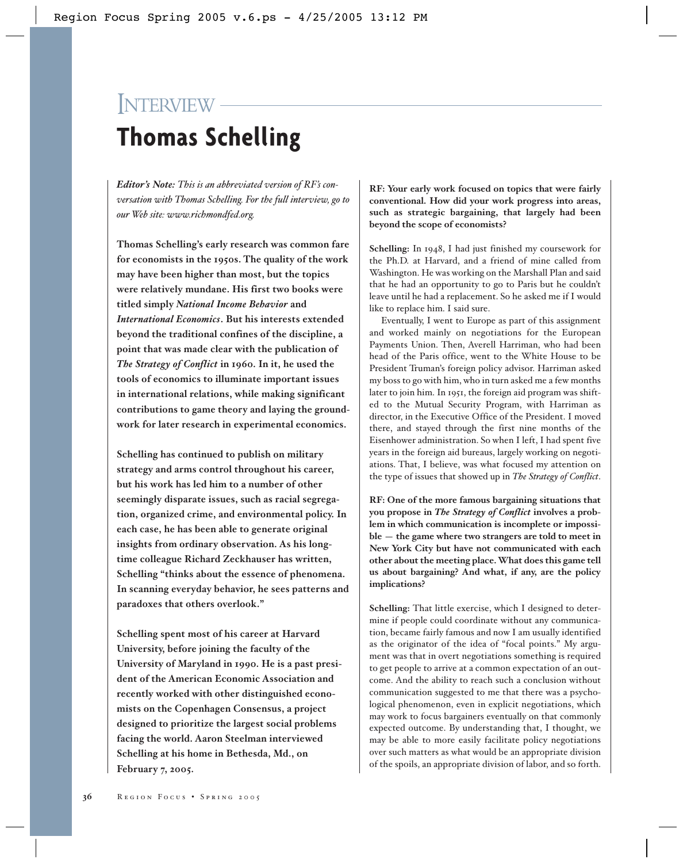# INTERVIEW **Thomas Schelling**

*Editor's Note: This is an abbreviated version of RF's conversation with Thomas Schelling. For the full interview, go to our Web site: www.richmondfed.org.*

**Thomas Schelling's early research was common fare for economists in the 1950s. The quality of the work may have been higher than most, but the topics were relatively mundane. His first two books were titled simply** *National Income Behavior* **and** *International Economics***. But his interests extended beyond the traditional confines of the discipline, a point that was made clear with the publication of** *The Strategy of Conflict* **in 1960. In it, he used the tools of economics to illuminate important issues in international relations, while making significant contributions to game theory and laying the groundwork for later research in experimental economics.**

**Schelling has continued to publish on military strategy and arms control throughout his career, but his work has led him to a number of other seemingly disparate issues, such as racial segregation, organized crime, and environmental policy. In each case, he has been able to generate original insights from ordinary observation. As his longtime colleague Richard Zeckhauser has written, Schelling "thinks about the essence of phenomena. In scanning everyday behavior, he sees patterns and paradoxes that others overlook."** 

**Schelling spent most of his career at Harvard University, before joining the faculty of the University of Maryland in 1990. He is a past president of the American Economic Association and recently worked with other distinguished economists on the Copenhagen Consensus, a project designed to prioritize the largest social problems facing the world. Aaron Steelman interviewed Schelling at his home in Bethesda, Md., on February 7, 2005.**

**RF: Your early work focused on topics that were fairly conventional. How did your work progress into areas, such as strategic bargaining, that largely had been beyond the scope of economists?**

**Schelling:** In 1948, I had just finished my coursework for the Ph.D. at Harvard, and a friend of mine called from Washington. He was working on the Marshall Plan and said that he had an opportunity to go to Paris but he couldn't leave until he had a replacement. So he asked me if I would like to replace him. I said sure.

Eventually, I went to Europe as part of this assignment and worked mainly on negotiations for the European Payments Union. Then, Averell Harriman, who had been head of the Paris office, went to the White House to be President Truman's foreign policy advisor. Harriman asked my boss to go with him, who in turn asked me a few months later to join him. In 1951, the foreign aid program was shifted to the Mutual Security Program, with Harriman as director, in the Executive Office of the President. I moved there, and stayed through the first nine months of the Eisenhower administration. So when I left, I had spent five years in the foreign aid bureaus, largely working on negotiations. That, I believe, was what focused my attention on the type of issues that showed up in *The Strategy of Conflict*.

**RF: One of the more famous bargaining situations that you propose in** *The Strategy of Conflict* **involves a problem in which communication is incomplete or impossible — the game where two strangers are told to meet in New York City but have not communicated with each other about the meeting place. What does this game tell us about bargaining? And what, if any, are the policy implications?**

**Schelling:** That little exercise, which I designed to determine if people could coordinate without any communication, became fairly famous and now I am usually identified as the originator of the idea of "focal points." My argument was that in overt negotiations something is required to get people to arrive at a common expectation of an outcome. And the ability to reach such a conclusion without communication suggested to me that there was a psychological phenomenon, even in explicit negotiations, which may work to focus bargainers eventually on that commonly expected outcome. By understanding that, I thought, we may be able to more easily facilitate policy negotiations over such matters as what would be an appropriate division of the spoils, an appropriate division of labor, and so forth.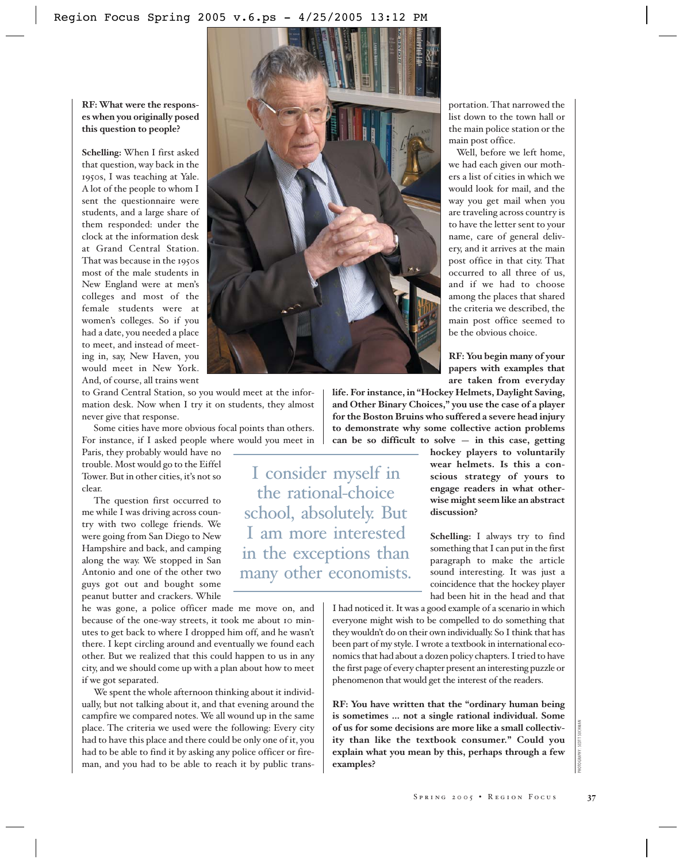# **RF: What were the responses when you originally posed this question to people?**

**Schelling:** When I first asked that question, way back in the 1950s, I was teaching at Yale. A lot of the people to whom I sent the questionnaire were students, and a large share of them responded: under the clock at the information desk at Grand Central Station. That was because in the 1950s most of the male students in New England were at men's colleges and most of the female students were at women's colleges. So if you had a date, you needed a place to meet, and instead of meeting in, say, New Haven, you would meet in New York. And, of course, all trains went



Some cities have more obvious focal points than others. For instance, if I asked people where would you meet in

Paris, they probably would have no trouble. Most would go to the Eiffel Tower. But in other cities, it's not so clear.

The question first occurred to me while I was driving across country with two college friends. We were going from San Diego to New Hampshire and back, and camping along the way. We stopped in San Antonio and one of the other two guys got out and bought some peanut butter and crackers. While

he was gone, a police officer made me move on, and because of the one-way streets, it took me about 10 minutes to get back to where I dropped him off, and he wasn't there. I kept circling around and eventually we found each other. But we realized that this could happen to us in any city, and we should come up with a plan about how to meet if we got separated.

We spent the whole afternoon thinking about it individually, but not talking about it, and that evening around the campfire we compared notes. We all wound up in the same place. The criteria we used were the following: Every city had to have this place and there could be only one of it, you had to be able to find it by asking any police officer or fireman, and you had to be able to reach it by public trans-



I consider myself in the rational-choice school, absolutely. But I am more interested in the exceptions than many other economists. portation. That narrowed the list down to the town hall or the main police station or the main post office.

Well, before we left home, we had each given our mothers a list of cities in which we would look for mail, and the way you get mail when you are traveling across country is to have the letter sent to your name, care of general delivery, and it arrives at the main post office in that city. That occurred to all three of us, and if we had to choose among the places that shared the criteria we described, the main post office seemed to be the obvious choice.

**RF: You begin many of your papers with examples that are taken from everyday**

**life. For instance, in "Hockey Helmets, Daylight Saving, and Other Binary Choices," you use the case of a player for the Boston Bruins who suffered a severe head injury to demonstrate why some collective action problems can be so difficult to solve — in this case, getting** 

> **hockey players to voluntarily wear helmets. Is this a conscious strategy of yours to engage readers in what otherwise might seem like an abstract discussion?**

> **Schelling:** I always try to find something that I can put in the first paragraph to make the article sound interesting. It was just a coincidence that the hockey player had been hit in the head and that

I had noticed it. It was a good example of a scenario in which everyone might wish to be compelled to do something that they wouldn't do on their own individually. So I think that has been part of my style. I wrote a textbook in international economics that had about a dozen policy chapters. I tried to have the first page of every chapter present an interesting puzzle or phenomenon that would get the interest of the readers.

**RF: You have written that the "ordinary human being is sometimes … not a single rational individual. Some of us for some decisions are more like a small collectivity than like the textbook consumer." Could you explain what you mean by this, perhaps through a few examples?** Sions are more like a small collective<br>textbook consumer." Could you<br>hean by this, perhaps through a few<br>seems in the substitution of the substitution<br> $S_{PRING\ 2005}$  . REGION FOCUS 37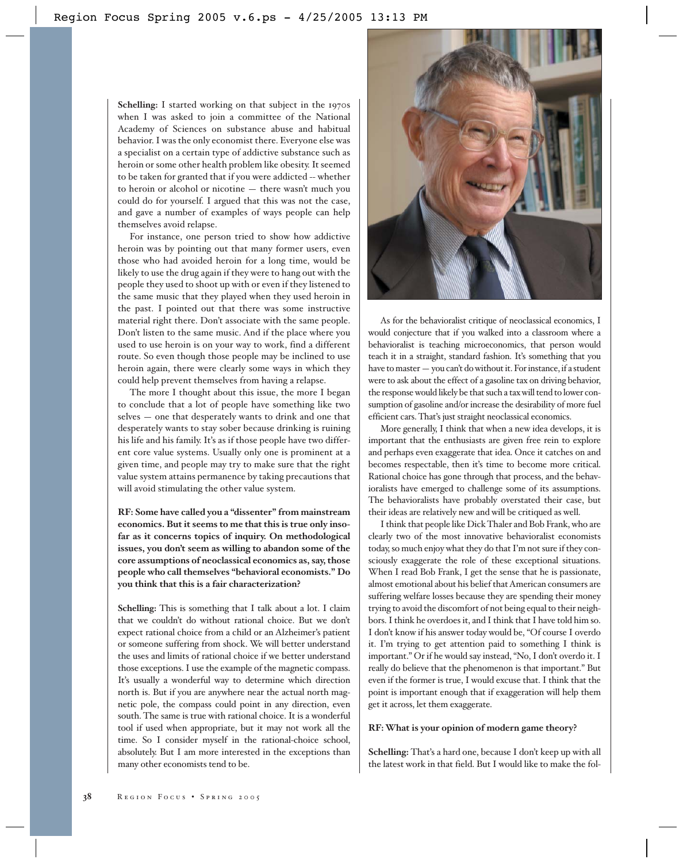**Schelling:** I started working on that subject in the 1970s when I was asked to join a committee of the National Academy of Sciences on substance abuse and habitual behavior. I was the only economist there. Everyone else was a specialist on a certain type of addictive substance such as heroin or some other health problem like obesity. It seemed to be taken for granted that if you were addicted -- whether to heroin or alcohol or nicotine — there wasn't much you could do for yourself. I argued that this was not the case, and gave a number of examples of ways people can help themselves avoid relapse.

For instance, one person tried to show how addictive heroin was by pointing out that many former users, even those who had avoided heroin for a long time, would be likely to use the drug again if they were to hang out with the people they used to shoot up with or even if they listened to the same music that they played when they used heroin in the past. I pointed out that there was some instructive material right there. Don't associate with the same people. Don't listen to the same music. And if the place where you used to use heroin is on your way to work, find a different route. So even though those people may be inclined to use heroin again, there were clearly some ways in which they could help prevent themselves from having a relapse.

The more I thought about this issue, the more I began to conclude that a lot of people have something like two selves — one that desperately wants to drink and one that desperately wants to stay sober because drinking is ruining his life and his family. It's as if those people have two different core value systems. Usually only one is prominent at a given time, and people may try to make sure that the right value system attains permanence by taking precautions that will avoid stimulating the other value system.

**RF: Some have called you a "dissenter" from mainstream economics. But it seems to me that this is true only insofar as it concerns topics of inquiry. On methodological issues, you don't seem as willing to abandon some of the core assumptions of neoclassical economics as, say, those people who call themselves "behavioral economists." Do you think that this is a fair characterization?**

**Schelling:** This is something that I talk about a lot. I claim that we couldn't do without rational choice. But we don't expect rational choice from a child or an Alzheimer's patient or someone suffering from shock. We will better understand the uses and limits of rational choice if we better understand those exceptions. I use the example of the magnetic compass. It's usually a wonderful way to determine which direction north is. But if you are anywhere near the actual north magnetic pole, the compass could point in any direction, even south. The same is true with rational choice. It is a wonderful tool if used when appropriate, but it may not work all the time. So I consider myself in the rational-choice school, absolutely. But I am more interested in the exceptions than many other economists tend to be.



As for the behavioralist critique of neoclassical economics, I would conjecture that if you walked into a classroom where a behavioralist is teaching microeconomics, that person would teach it in a straight, standard fashion. It's something that you have to master — you can't do without it. For instance, if a student were to ask about the effect of a gasoline tax on driving behavior, the response would likely be that such a tax will tend to lower consumption of gasoline and/or increase the desirability of more fuel efficient cars. That's just straight neoclassical economics.

More generally, I think that when a new idea develops, it is important that the enthusiasts are given free rein to explore and perhaps even exaggerate that idea. Once it catches on and becomes respectable, then it's time to become more critical. Rational choice has gone through that process, and the behavioralists have emerged to challenge some of its assumptions. The behavioralists have probably overstated their case, but their ideas are relatively new and will be critiqued as well.

I think that people like Dick Thaler and Bob Frank, who are clearly two of the most innovative behavioralist economists today, so much enjoy what they do that I'm not sure if they consciously exaggerate the role of these exceptional situations. When I read Bob Frank, I get the sense that he is passionate, almost emotional about his belief that American consumers are suffering welfare losses because they are spending their money trying to avoid the discomfort of not being equal to their neighbors. I think he overdoes it, and I think that I have told him so. I don't know if his answer today would be, "Of course I overdo it. I'm trying to get attention paid to something I think is important." Or if he would say instead, "No, I don't overdo it. I really do believe that the phenomenon is that important." But even if the former is true, I would excuse that. I think that the point is important enough that if exaggeration will help them get it across, let them exaggerate.

#### **RF: What is your opinion of modern game theory?**

**Schelling:** That's a hard one, because I don't keep up with all the latest work in that field. But I would like to make the fol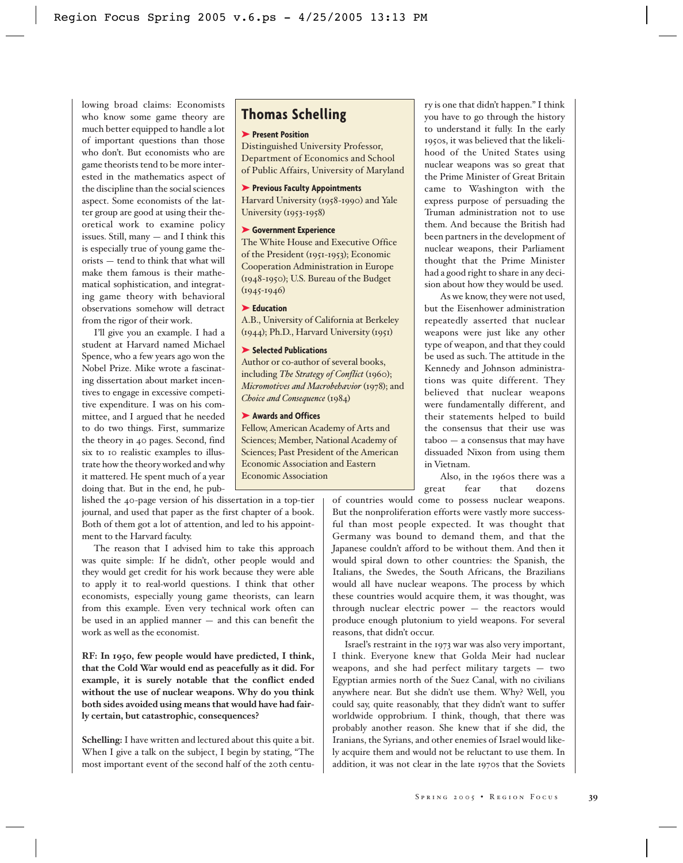lowing broad claims: Economists who know some game theory are much better equipped to handle a lot of important questions than those who don't. But economists who are game theorists tend to be more interested in the mathematics aspect of the discipline than the social sciences aspect. Some economists of the latter group are good at using their theoretical work to examine policy issues. Still, many — and I think this is especially true of young game theorists — tend to think that what will make them famous is their mathematical sophistication, and integrating game theory with behavioral observations somehow will detract from the rigor of their work.

I'll give you an example. I had a student at Harvard named Michael Spence, who a few years ago won the Nobel Prize. Mike wrote a fascinating dissertation about market incentives to engage in excessive competitive expenditure. I was on his committee, and I argued that he needed to do two things. First, summarize the theory in 40 pages. Second, find six to 10 realistic examples to illustrate how the theory worked and why it mattered. He spent much of a year doing that. But in the end, he pub-

lished the 40-page version of his dissertation in a top-tier journal, and used that paper as the first chapter of a book. Both of them got a lot of attention, and led to his appointment to the Harvard faculty.

The reason that I advised him to take this approach was quite simple: If he didn't, other people would and they would get credit for his work because they were able to apply it to real-world questions. I think that other economists, especially young game theorists, can learn from this example. Even very technical work often can be used in an applied manner — and this can benefit the work as well as the economist.

**RF: In 1950, few people would have predicted, I think, that the Cold War would end as peacefully as it did. For example, it is surely notable that the conflict ended without the use of nuclear weapons. Why do you think both sides avoided using means that would have had fairly certain, but catastrophic, consequences?**

**Schelling:** I have written and lectured about this quite a bit. When I give a talk on the subject, I begin by stating, "The most important event of the second half of the 20th centu-

# **Thomas Schelling**

# ➤ **Present Position**

Distinguished University Professor, Department of Economics and School of Public Affairs, University of Maryland

#### ➤ **Previous Faculty Appointments**

Harvard University (1958-1990) and Yale University (1953-1958)

### ➤ **Government Experience**

The White House and Executive Office of the President (1951-1953); Economic Cooperation Administration in Europe (1948-1950); U.S. Bureau of the Budget  $(1945 - 1946)$ 

#### ➤ **Education**

A.B., University of California at Berkeley (1944); Ph.D., Harvard University (1951)

#### ➤ **Selected Publications**

Author or co-author of several books, including *The Strategy of Conflict* (1960); *Micromotives and Macrobehavior* (1978); and *Choice and Consequence* (1984)

### ➤ **Awards and Offices**

Fellow, American Academy of Arts and Sciences; Member, National Academy of Sciences; Past President of the American Economic Association and Eastern Economic Association

ry is one that didn't happen." I think you have to go through the history to understand it fully. In the early 1950s, it was believed that the likelihood of the United States using nuclear weapons was so great that the Prime Minister of Great Britain came to Washington with the express purpose of persuading the Truman administration not to use them. And because the British had been partners in the development of nuclear weapons, their Parliament thought that the Prime Minister had a good right to share in any decision about how they would be used.

As we know, they were not used, but the Eisenhower administration repeatedly asserted that nuclear weapons were just like any other type of weapon, and that they could be used as such. The attitude in the Kennedy and Johnson administrations was quite different. They believed that nuclear weapons were fundamentally different, and their statements helped to build the consensus that their use was taboo — a consensus that may have dissuaded Nixon from using them in Vietnam.

Also, in the 1960s there was a great fear that dozens

of countries would come to possess nuclear weapons. But the nonproliferation efforts were vastly more successful than most people expected. It was thought that Germany was bound to demand them, and that the Japanese couldn't afford to be without them. And then it would spiral down to other countries: the Spanish, the Italians, the Swedes, the South Africans, the Brazilians would all have nuclear weapons. The process by which these countries would acquire them, it was thought, was through nuclear electric power — the reactors would produce enough plutonium to yield weapons. For several reasons, that didn't occur.

Israel's restraint in the 1973 war was also very important, I think. Everyone knew that Golda Meir had nuclear weapons, and she had perfect military targets — two Egyptian armies north of the Suez Canal, with no civilians anywhere near. But she didn't use them. Why? Well, you could say, quite reasonably, that they didn't want to suffer worldwide opprobrium. I think, though, that there was probably another reason. She knew that if she did, the Iranians, the Syrians, and other enemies of Israel would likely acquire them and would not be reluctant to use them. In addition, it was not clear in the late 1970s that the Soviets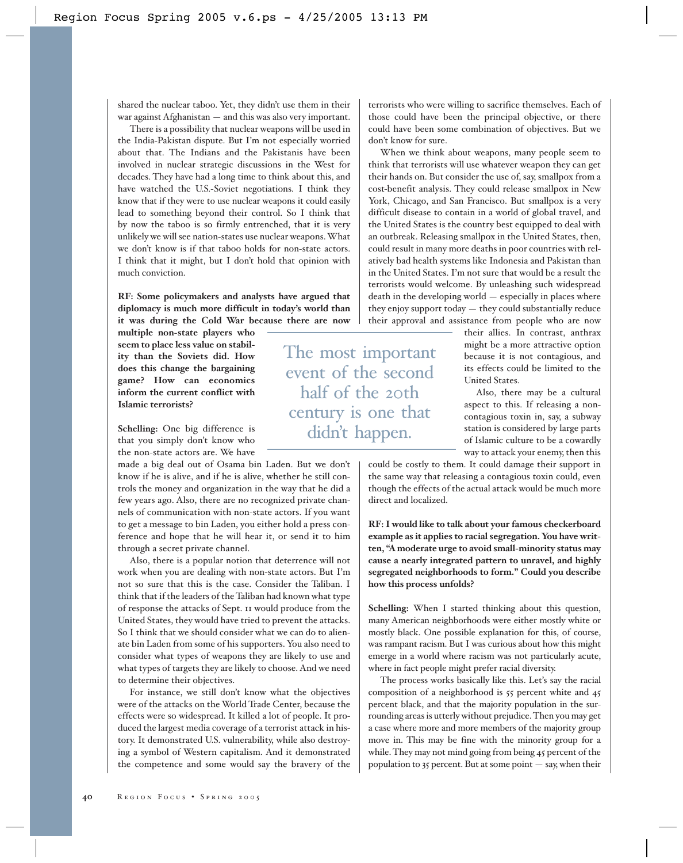shared the nuclear taboo. Yet, they didn't use them in their war against Afghanistan — and this was also very important.

There is a possibility that nuclear weapons will be used in the India-Pakistan dispute. But I'm not especially worried about that. The Indians and the Pakistanis have been involved in nuclear strategic discussions in the West for decades. They have had a long time to think about this, and have watched the U.S.-Soviet negotiations. I think they know that if they were to use nuclear weapons it could easily lead to something beyond their control. So I think that by now the taboo is so firmly entrenched, that it is very unlikely we will see nation-states use nuclear weapons. What we don't know is if that taboo holds for non-state actors. I think that it might, but I don't hold that opinion with much conviction.

**RF: Some policymakers and analysts have argued that diplomacy is much more difficult in today's world than it was during the Cold War because there are now** 

**multiple non-state players who seem to place less value on stability than the Soviets did. How does this change the bargaining game? How can economics inform the current conflict with Islamic terrorists?**

**Schelling:** One big difference is that you simply don't know who the non-state actors are. We have

made a big deal out of Osama bin Laden. But we don't know if he is alive, and if he is alive, whether he still controls the money and organization in the way that he did a few years ago. Also, there are no recognized private channels of communication with non-state actors. If you want to get a message to bin Laden, you either hold a press conference and hope that he will hear it, or send it to him through a secret private channel.

Also, there is a popular notion that deterrence will not work when you are dealing with non-state actors. But I'm not so sure that this is the case. Consider the Taliban. I think that if the leaders of the Taliban had known what type of response the attacks of Sept. 11 would produce from the United States, they would have tried to prevent the attacks. So I think that we should consider what we can do to alienate bin Laden from some of his supporters. You also need to consider what types of weapons they are likely to use and what types of targets they are likely to choose. And we need to determine their objectives.

For instance, we still don't know what the objectives were of the attacks on the World Trade Center, because the effects were so widespread. It killed a lot of people. It produced the largest media coverage of a terrorist attack in history. It demonstrated U.S. vulnerability, while also destroying a symbol of Western capitalism. And it demonstrated the competence and some would say the bravery of the terrorists who were willing to sacrifice themselves. Each of those could have been the principal objective, or there could have been some combination of objectives. But we don't know for sure.

When we think about weapons, many people seem to think that terrorists will use whatever weapon they can get their hands on. But consider the use of, say, smallpox from a cost-benefit analysis. They could release smallpox in New York, Chicago, and San Francisco. But smallpox is a very difficult disease to contain in a world of global travel, and the United States is the country best equipped to deal with an outbreak. Releasing smallpox in the United States, then, could result in many more deaths in poor countries with relatively bad health systems like Indonesia and Pakistan than in the United States. I'm not sure that would be a result the terrorists would welcome. By unleashing such widespread death in the developing world — especially in places where they enjoy support today — they could substantially reduce their approval and assistance from people who are now

The most important event of the second half of the 20th century is one that didn't happen.

their allies. In contrast, anthrax might be a more attractive option because it is not contagious, and its effects could be limited to the United States.

Also, there may be a cultural aspect to this. If releasing a noncontagious toxin in, say, a subway station is considered by large parts of Islamic culture to be a cowardly way to attack your enemy, then this

could be costly to them. It could damage their support in the same way that releasing a contagious toxin could, even though the effects of the actual attack would be much more direct and localized.

**RF: I would like to talk about your famous checkerboard example as it applies to racial segregation. You have written, "A moderate urge to avoid small-minority status may cause a nearly integrated pattern to unravel, and highly segregated neighborhoods to form." Could you describe how this process unfolds?**

**Schelling:** When I started thinking about this question, many American neighborhoods were either mostly white or mostly black. One possible explanation for this, of course, was rampant racism. But I was curious about how this might emerge in a world where racism was not particularly acute, where in fact people might prefer racial diversity.

The process works basically like this. Let's say the racial composition of a neighborhood is 55 percent white and 45 percent black, and that the majority population in the surrounding areas is utterly without prejudice. Then you may get a case where more and more members of the majority group move in. This may be fine with the minority group for a while. They may not mind going from being 45 percent of the population to 35 percent. But at some point — say, when their